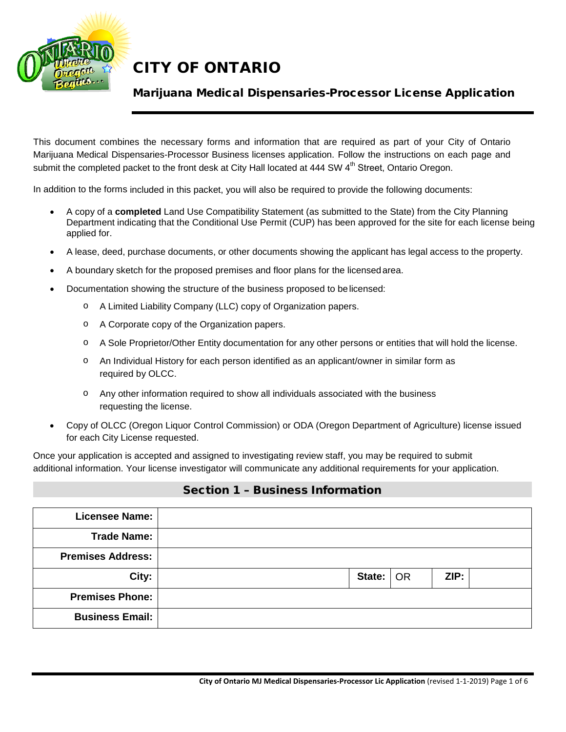

## Marijuana Medical Dispensaries-Processor License Application

This document combines the necessary forms and information that are required as part of your City of Ontario Marijuana Medical Dispensaries-Processor Business licenses application. Follow the instructions on each page and submit the completed packet to the front desk at City Hall located at 444 SW 4<sup>th</sup> Street, Ontario Oregon.

In addition to the forms included in this packet, you will also be required to provide the following documents:

- A copy of a **completed** Land Use Compatibility Statement (as submitted to the State) from the City Planning Department indicating that the Conditional Use Permit (CUP) has been approved for the site for each license being applied for.
- A lease, deed, purchase documents, or other documents showing the applicant has legal access to the property.
- A boundary sketch for the proposed premises and floor plans for the licensedarea.
- Documentation showing the structure of the business proposed to belicensed:
	- o A Limited Liability Company (LLC) copy of Organization papers.
	- o A Corporate copy of the Organization papers.
	- o A Sole Proprietor/Other Entity documentation for any other persons or entities that will hold the license.
	- o An Individual History for each person identified as an applicant/owner in similar form as required by OLCC.
	- o Any other information required to show all individuals associated with the business requesting the license.
- Copy of OLCC (Oregon Liquor Control Commission) or ODA (Oregon Department of Agriculture) license issued for each City License requested.

Once your application is accepted and assigned to investigating review staff, you may be required to submit additional information. Your license investigator will communicate any additional requirements for your application.

#### Section 1 – Business Information

| <b>Licensee Name:</b>    |                     |  |
|--------------------------|---------------------|--|
| <b>Trade Name:</b>       |                     |  |
| <b>Premises Address:</b> |                     |  |
| City:                    | State:   OR<br>ZIP: |  |
| <b>Premises Phone:</b>   |                     |  |
| <b>Business Email:</b>   |                     |  |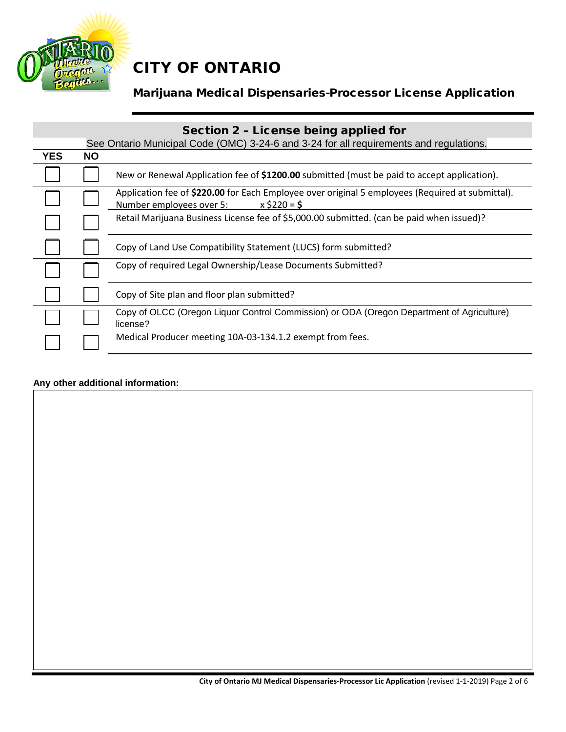

# Marijuana Medical Dispensaries-Processor License Application

|            | Section 2 - License being applied for |                                                                                                                                                |  |  |  |  |  |
|------------|---------------------------------------|------------------------------------------------------------------------------------------------------------------------------------------------|--|--|--|--|--|
|            |                                       | See Ontario Municipal Code (OMC) 3-24-6 and 3-24 for all requirements and regulations.                                                         |  |  |  |  |  |
| <b>YES</b> | <b>NO</b>                             |                                                                                                                                                |  |  |  |  |  |
|            |                                       | New or Renewal Application fee of \$1200.00 submitted (must be paid to accept application).                                                    |  |  |  |  |  |
|            |                                       | Application fee of \$220.00 for Each Employee over original 5 employees (Required at submittal).<br>$x$ \$220 = \$<br>Number employees over 5: |  |  |  |  |  |
|            |                                       | Retail Marijuana Business License fee of \$5,000.00 submitted. (can be paid when issued)?                                                      |  |  |  |  |  |
|            |                                       | Copy of Land Use Compatibility Statement (LUCS) form submitted?                                                                                |  |  |  |  |  |
|            |                                       | Copy of required Legal Ownership/Lease Documents Submitted?                                                                                    |  |  |  |  |  |
|            |                                       | Copy of Site plan and floor plan submitted?                                                                                                    |  |  |  |  |  |
|            |                                       | Copy of OLCC (Oregon Liquor Control Commission) or ODA (Oregon Department of Agriculture)<br>license?                                          |  |  |  |  |  |
|            |                                       | Medical Producer meeting 10A-03-134.1.2 exempt from fees.                                                                                      |  |  |  |  |  |

### **Any other additional information:**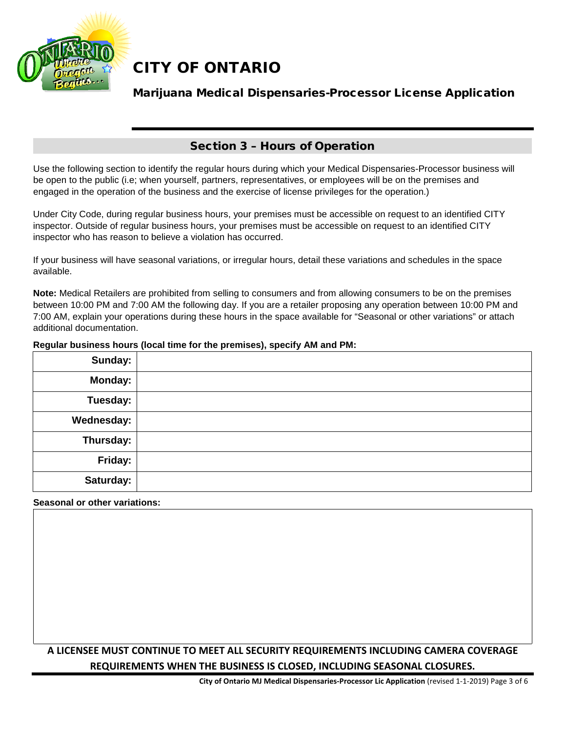

## Marijuana Medical Dispensaries-Processor License Application

### Section 3 – Hours of Operation

Use the following section to identify the regular hours during which your Medical Dispensaries-Processor business will be open to the public (i.e; when yourself, partners, representatives, or employees will be on the premises and engaged in the operation of the business and the exercise of license privileges for the operation.)

Under City Code, during regular business hours, your premises must be accessible on request to an identified CITY inspector. Outside of regular business hours, your premises must be accessible on request to an identified CITY inspector who has reason to believe a violation has occurred.

If your business will have seasonal variations, or irregular hours, detail these variations and schedules in the space available.

**Note:** Medical Retailers are prohibited from selling to consumers and from allowing consumers to be on the premises between 10:00 PM and 7:00 AM the following day. If you are a retailer proposing any operation between 10:00 PM and 7:00 AM, explain your operations during these hours in the space available for "Seasonal or other variations" or attach additional documentation.

#### **Regular business hours (local time for the premises), specify AM and PM:**

| Sunday:        |  |
|----------------|--|
| <b>Monday:</b> |  |
| Tuesday:       |  |
| Wednesday:     |  |
| Thursday:      |  |
| Friday:        |  |
| Saturday:      |  |

#### **Seasonal or other variations:**

## **A LICENSEE MUST CONTINUE TO MEET ALL SECURITY REQUIREMENTS INCLUDING CAMERA COVERAGE REQUIREMENTS WHEN THE BUSINESS IS CLOSED, INCLUDING SEASONAL CLOSURES.**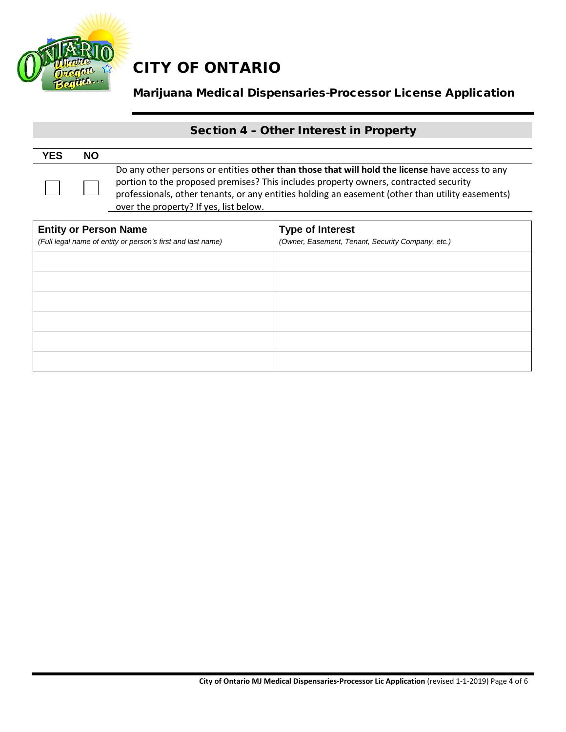

## Marijuana Medical Dispensaries-Processor License Application

# Section 4 – Other Interest in Property

| <b>YES</b> | <b>NO</b> |                                                                                                                                                                                                                                                                                                                                       |
|------------|-----------|---------------------------------------------------------------------------------------------------------------------------------------------------------------------------------------------------------------------------------------------------------------------------------------------------------------------------------------|
|            |           | Do any other persons or entities other than those that will hold the license have access to any<br>portion to the proposed premises? This includes property owners, contracted security<br>professionals, other tenants, or any entities holding an easement (other than utility easements)<br>over the property? If yes, list below. |

| <b>Entity or Person Name</b>                                | <b>Type of Interest</b>                           |  |  |
|-------------------------------------------------------------|---------------------------------------------------|--|--|
| (Full legal name of entity or person's first and last name) | (Owner, Easement, Tenant, Security Company, etc.) |  |  |
|                                                             |                                                   |  |  |
|                                                             |                                                   |  |  |
|                                                             |                                                   |  |  |
|                                                             |                                                   |  |  |
|                                                             |                                                   |  |  |
|                                                             |                                                   |  |  |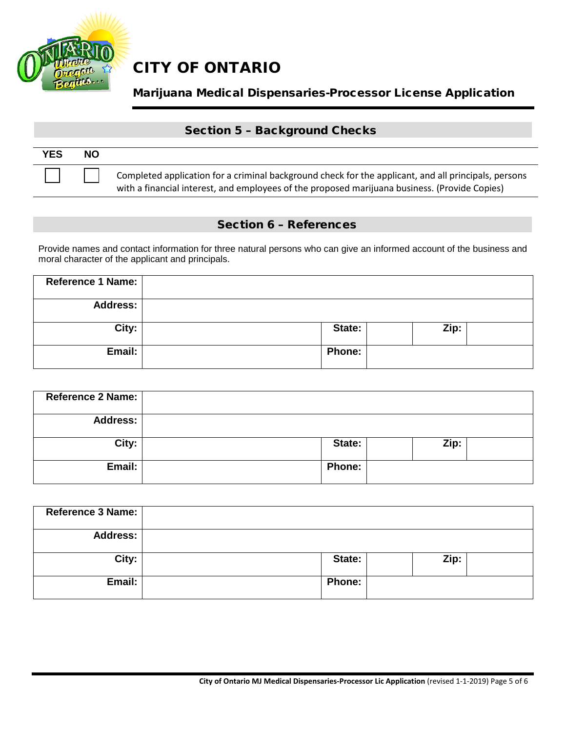

## Marijuana Medical Dispensaries-Processor License Application

### Section 5 – Background Checks

| <b>YES</b> | <b>NO</b> |                                                                                                                                                                                                       |
|------------|-----------|-------------------------------------------------------------------------------------------------------------------------------------------------------------------------------------------------------|
|            |           | Completed application for a criminal background check for the applicant, and all principals, persons<br>with a financial interest, and employees of the proposed marijuana business. (Provide Copies) |

### Section 6 – References

Provide names and contact information for three natural persons who can give an informed account of the business and moral character of the applicant and principals.

| Reference 1 Name: |               |      |  |
|-------------------|---------------|------|--|
| <b>Address:</b>   |               |      |  |
| City:             | State:        | Zip: |  |
| Email:            | <b>Phone:</b> |      |  |

| Reference 2 Name: |               |      |
|-------------------|---------------|------|
| <b>Address:</b>   |               |      |
| City:             | State:        | Zip: |
| Email:            | <b>Phone:</b> |      |

| <b>Reference 3 Name:</b> |               |      |
|--------------------------|---------------|------|
| <b>Address:</b>          |               |      |
| City:                    | State:        | Zip: |
| Email:                   | <b>Phone:</b> |      |